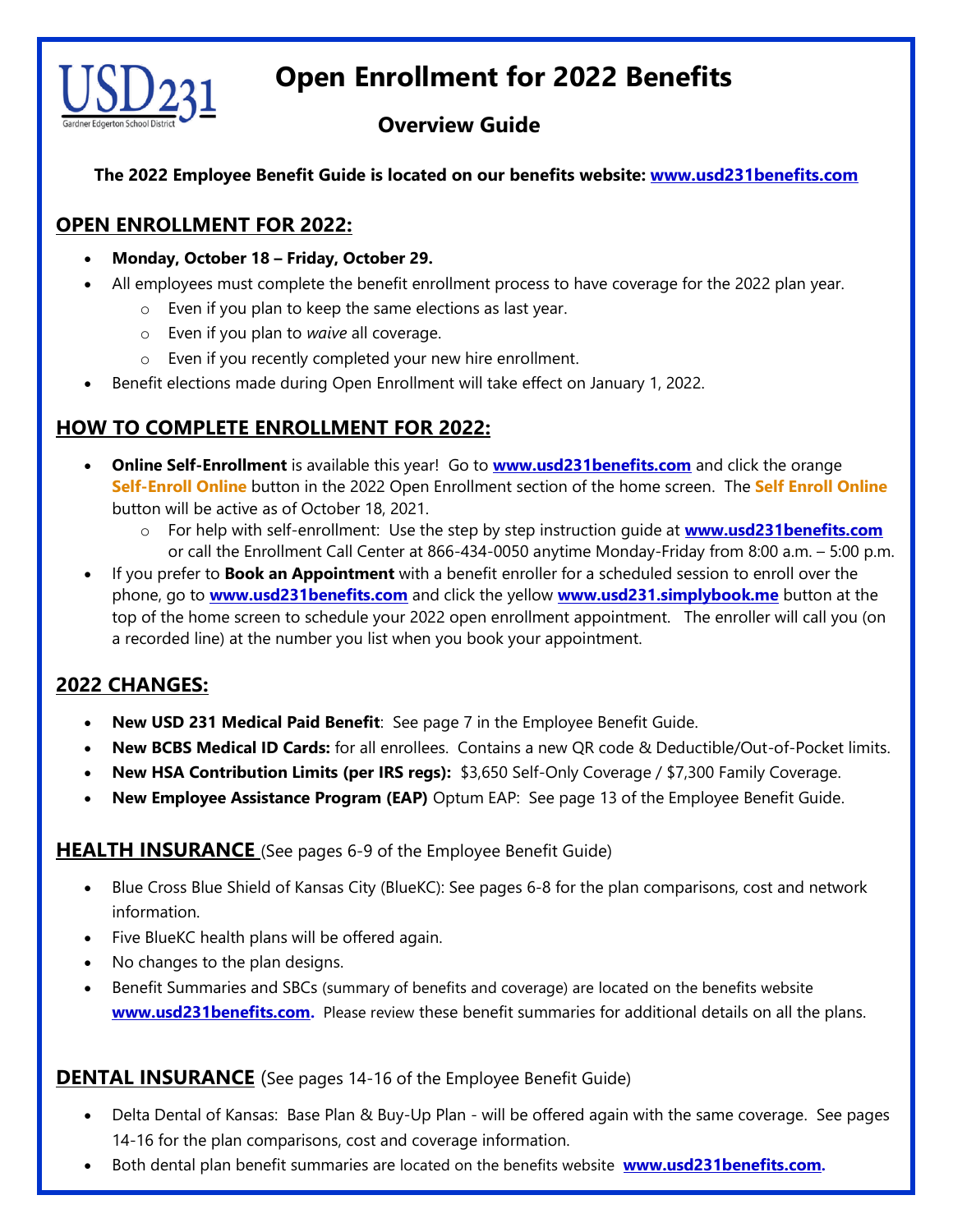

# **Open Enrollment for 2022 Benefits**

# **Overview Guide**

**The 2022 Employee Benefit Guide is located on our benefits website: [www.usd231benefits.com](http://www.usd231benefits.com/)**

## **OPEN ENROLLMENT FOR 2022:**

- **Monday, October 18 – Friday, October 29.**
- All employees must complete the benefit enrollment process to have coverage for the 2022 plan year.
	- o Even if you plan to keep the same elections as last year.
	- o Even if you plan to *waive* all coverage.
	- o Even if you recently completed your new hire enrollment.
- Benefit elections made during Open Enrollment will take effect on January 1, 2022.

## **HOW TO COMPLETE ENROLLMENT FOR 2022:**

- **Online Self-Enrollment** is available this year! Go to **[www.usd231benefits.com](http://www.usd231benefits.com/)** and click the orange **Self-Enroll Online** button in the 2022 Open Enrollment section of the home screen. The **Self Enroll Online** button will be active as of October 18, 2021.
	- o For help with self-enrollment: Use the step by step instruction guide at **[www.usd231benefits.com](http://www.usd231benefits.com/)** or call the Enrollment Call Center at 866-434-0050 anytime Monday-Friday from 8:00 a.m. – 5:00 p.m.
- If you prefer to **Book an Appointment** with a benefit enroller for a scheduled session to enroll over the phone, go to **[www.usd231benefits.com](http://www.usd231benefits.com/)** and click the yellow **[www.usd231.simplybook.me](http://www.usd231.simplybook.me/)** button at the top of the home screen to schedule your 2022 open enrollment appointment. The enroller will call you (on a recorded line) at the number you list when you book your appointment.

## **2022 CHANGES:**

- **New USD 231 Medical Paid Benefit**: See page 7 in the Employee Benefit Guide.
- **New BCBS Medical ID Cards:** for all enrollees. Contains a new QR code & Deductible/Out-of-Pocket limits.
- **New HSA Contribution Limits (per IRS regs):** \$3,650 Self-Only Coverage / \$7,300 Family Coverage.
- **New Employee Assistance Program (EAP)** Optum EAP: See page 13 of the Employee Benefit Guide.

#### **HEALTH INSURANCE** (See pages 6-9 of the Employee Benefit Guide)

- Blue Cross Blue Shield of Kansas City (BlueKC): See pages 6-8 for the plan comparisons, cost and network information.
- Five BlueKC health plans will be offered again.
- No changes to the plan designs.
- Benefit Summaries and SBCs (summary of benefits and coverage) are located on the benefits website **[www.usd231benefits.com](http://www.usd231benefits.com/).** Please review these benefit summaries for additional details on all the plans.

#### **DENTAL INSURANCE** (See pages 14-16 of the Employee Benefit Guide)

- Delta Dental of Kansas: Base Plan & Buy-Up Plan will be offered again with the same coverage. See pages 14-16 for the plan comparisons, cost and coverage information.
- Both dental plan benefit summaries are located on the benefits website **[www.usd231benefits.com](http://www.usd231benefits.com/).**